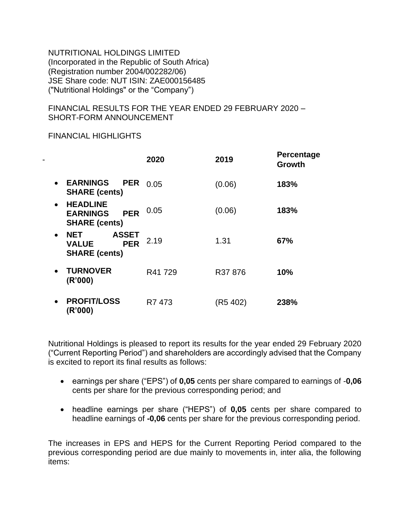NUTRITIONAL HOLDINGS LIMITED (Incorporated in the Republic of South Africa) (Registration number 2004/002282/06) JSE Share code: NUT ISIN: ZAE000156485 ("Nutritional Holdings" or the "Company")

FINANCIAL RESULTS FOR THE YEAR ENDED 29 FEBRUARY 2020 – SHORT-FORM ANNOUNCEMENT

FINANCIAL HIGHLIGHTS

|           |                                                                                  | 2020   | 2019     | <b>Percentage</b><br><b>Growth</b> |
|-----------|----------------------------------------------------------------------------------|--------|----------|------------------------------------|
| $\bullet$ | <b>EARNINGS</b><br><b>PER</b><br><b>SHARE (cents)</b>                            | 0.05   | (0.06)   | 183%                               |
| $\bullet$ | <b>HEADLINE</b><br><b>PER</b><br><b>EARNINGS</b><br><b>SHARE (cents)</b>         | 0.05   | (0.06)   | 183%                               |
| $\bullet$ | <b>ASSET</b><br><b>NET</b><br><b>VALUE</b><br><b>PER</b><br><b>SHARE (cents)</b> | 2.19   | 1.31     | 67%                                |
| $\bullet$ | <b>TURNOVER</b><br>(R'000)                                                       | R41729 | R37876   | 10%                                |
| $\bullet$ | <b>PROFIT/LOSS</b><br>(R'000)                                                    | R7 473 | (R5 402) | 238%                               |

Nutritional Holdings is pleased to report its results for the year ended 29 February 2020 ("Current Reporting Period") and shareholders are accordingly advised that the Company is excited to report its final results as follows:

- earnings per share ("EPS") of **0,05** cents per share compared to earnings of -**0,06** cents per share for the previous corresponding period; and
- headline earnings per share ("HEPS") of **0,05** cents per share compared to headline earnings of **-0,06** cents per share for the previous corresponding period.

The increases in EPS and HEPS for the Current Reporting Period compared to the previous corresponding period are due mainly to movements in, inter alia, the following items: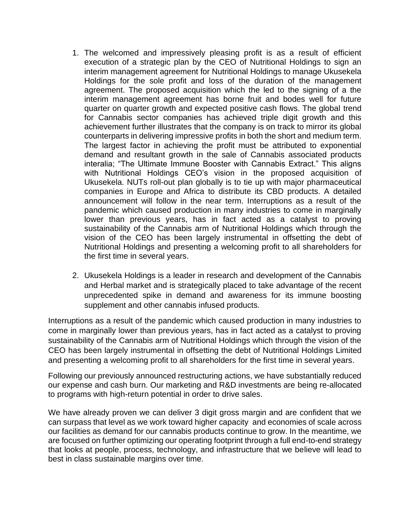- 1. The welcomed and impressively pleasing profit is as a result of efficient execution of a strategic plan by the CEO of Nutritional Holdings to sign an interim management agreement for Nutritional Holdings to manage Ukusekela Holdings for the sole profit and loss of the duration of the management agreement. The proposed acquisition which the led to the signing of a the interim management agreement has borne fruit and bodes well for future quarter on quarter growth and expected positive cash flows. The global trend for Cannabis sector companies has achieved triple digit growth and this achievement further illustrates that the company is on track to mirror its global counterparts in delivering impressive profits in both the short and medium term. The largest factor in achieving the profit must be attributed to exponential demand and resultant growth in the sale of Cannabis associated products interalia; "The Ultimate Immune Booster with Cannabis Extract." This aligns with Nutritional Holdings CEO's vision in the proposed acquisition of Ukusekela. NUTs roll-out plan globally is to tie up with major pharmaceutical companies in Europe and Africa to distribute its CBD products. A detailed announcement will follow in the near term. Interruptions as a result of the pandemic which caused production in many industries to come in marginally lower than previous years, has in fact acted as a catalyst to proving sustainability of the Cannabis arm of Nutritional Holdings which through the vision of the CEO has been largely instrumental in offsetting the debt of Nutritional Holdings and presenting a welcoming profit to all shareholders for the first time in several years.
- 2. Ukusekela Holdings is a leader in research and development of the Cannabis and Herbal market and is strategically placed to take advantage of the recent unprecedented spike in demand and awareness for its immune boosting supplement and other cannabis infused products.

Interruptions as a result of the pandemic which caused production in many industries to come in marginally lower than previous years, has in fact acted as a catalyst to proving sustainability of the Cannabis arm of Nutritional Holdings which through the vision of the CEO has been largely instrumental in offsetting the debt of Nutritional Holdings Limited and presenting a welcoming profit to all shareholders for the first time in several years.

Following our previously announced restructuring actions, we have substantially reduced our expense and cash burn. Our marketing and R&D investments are being re-allocated to programs with high-return potential in order to drive sales.

We have already proven we can deliver 3 digit gross margin and are confident that we can surpass that level as we work toward higher capacity and economies of scale across our facilities as demand for our cannabis products continue to grow. In the meantime, we are focused on further optimizing our operating footprint through a full end-to-end strategy that looks at people, process, technology, and infrastructure that we believe will lead to best in class sustainable margins over time.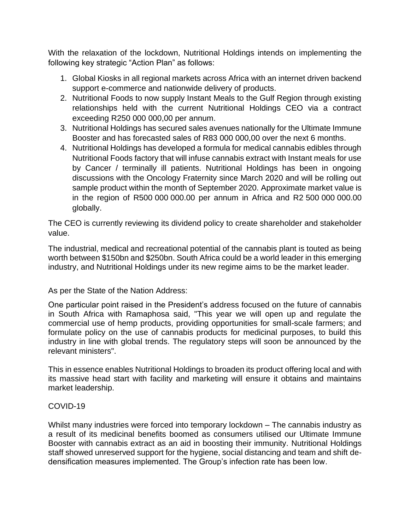With the relaxation of the lockdown, Nutritional Holdings intends on implementing the following key strategic "Action Plan" as follows:

- 1. Global Kiosks in all regional markets across Africa with an internet driven backend support e-commerce and nationwide delivery of products.
- 2. Nutritional Foods to now supply Instant Meals to the Gulf Region through existing relationships held with the current Nutritional Holdings CEO via a contract exceeding R250 000 000,00 per annum.
- 3. Nutritional Holdings has secured sales avenues nationally for the Ultimate Immune Booster and has forecasted sales of R83 000 000,00 over the next 6 months.
- 4. Nutritional Holdings has developed a formula for medical cannabis edibles through Nutritional Foods factory that will infuse cannabis extract with Instant meals for use by Cancer / terminally ill patients. Nutritional Holdings has been in ongoing discussions with the Oncology Fraternity since March 2020 and will be rolling out sample product within the month of September 2020. Approximate market value is in the region of R500 000 000.00 per annum in Africa and R2 500 000 000.00 globally.

The CEO is currently reviewing its dividend policy to create shareholder and stakeholder value.

The industrial, medical and recreational potential of the cannabis plant is touted as being worth between \$150bn and \$250bn. South Africa could be a world leader in this emerging industry, and Nutritional Holdings under its new regime aims to be the market leader.

As per the State of the Nation Address:

One particular point raised in the President's address focused on the future of cannabis in South Africa with Ramaphosa said, "This year we will open up and regulate the commercial use of hemp products, providing opportunities for small-scale farmers; and formulate policy on the use of cannabis products for medicinal purposes, to build this industry in line with global trends. The regulatory steps will soon be announced by the relevant ministers".

This in essence enables Nutritional Holdings to broaden its product offering local and with its massive head start with facility and marketing will ensure it obtains and maintains market leadership.

## COVID-19

Whilst many industries were forced into temporary lockdown – The cannabis industry as a result of its medicinal benefits boomed as consumers utilised our Ultimate Immune Booster with cannabis extract as an aid in boosting their immunity. Nutritional Holdings staff showed unreserved support for the hygiene, social distancing and team and shift dedensification measures implemented. The Group's infection rate has been low.